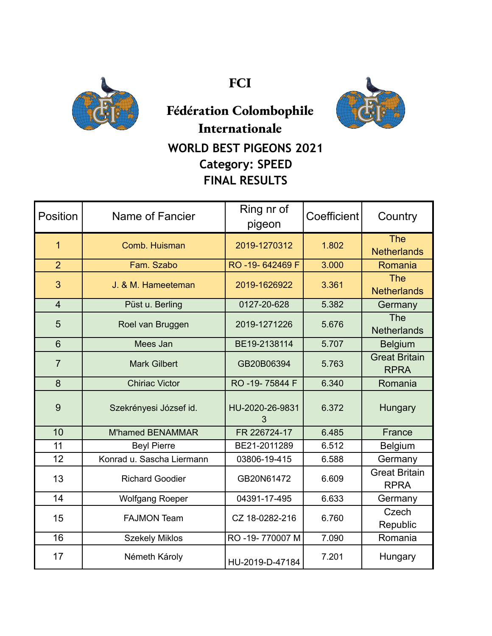

**FCI**



## **Fédération Colombophile Internationale WORLD BEST PIGEONS 2021 Category: SPEED FINAL RESULTS**

| Position        | Name of Fancier           | Ring nr of<br>pigeon | Coefficient | Country                             |
|-----------------|---------------------------|----------------------|-------------|-------------------------------------|
| $\overline{1}$  | Comb. Huisman             | 2019-1270312         | 1.802       | <b>The</b><br><b>Netherlands</b>    |
| $\overline{2}$  | Fam. Szabo                | RO-19-642469 F       | 3.000       | Romania                             |
| 3               | J. & M. Hameeteman        | 2019-1626922         | 3.361       | <b>The</b><br><b>Netherlands</b>    |
| $\overline{4}$  | Püst u. Berling           | 0127-20-628          | 5.382       | Germany                             |
| 5               | Roel van Bruggen          | 2019-1271226         | 5.676       | <b>The</b><br><b>Netherlands</b>    |
| $6\phantom{1}6$ | Mees Jan                  | BE19-2138114         | 5.707       | <b>Belgium</b>                      |
| $\overline{7}$  | <b>Mark Gilbert</b>       | GB20B06394           | 5.763       | <b>Great Britain</b><br><b>RPRA</b> |
| 8               | <b>Chiriac Victor</b>     | RO -19-75844 F       | 6.340       | Romania                             |
| 9               | Szekrényesi József id.    | HU-2020-26-9831<br>3 | 6.372       | Hungary                             |
| 10              | <b>M'hamed BENAMMAR</b>   | FR 226724-17         | 6.485       | France                              |
| 11              | <b>Beyl Pierre</b>        | BE21-2011289         | 6.512       | Belgium                             |
| 12              | Konrad u. Sascha Liermann | 03806-19-415         | 6.588       | Germany                             |
| 13              | <b>Richard Goodier</b>    | GB20N61472           | 6.609       | <b>Great Britain</b><br><b>RPRA</b> |
| 14              | <b>Wolfgang Roeper</b>    | 04391-17-495         | 6.633       | Germany                             |
| 15              | <b>FAJMON Team</b>        | CZ 18-0282-216       | 6.760       | Czech<br>Republic                   |
| 16              | <b>Szekely Miklos</b>     | RO -19-770007 M      | 7.090       | Romania                             |
| 17              | Németh Károly             | HU-2019-D-47184      | 7.201       | Hungary                             |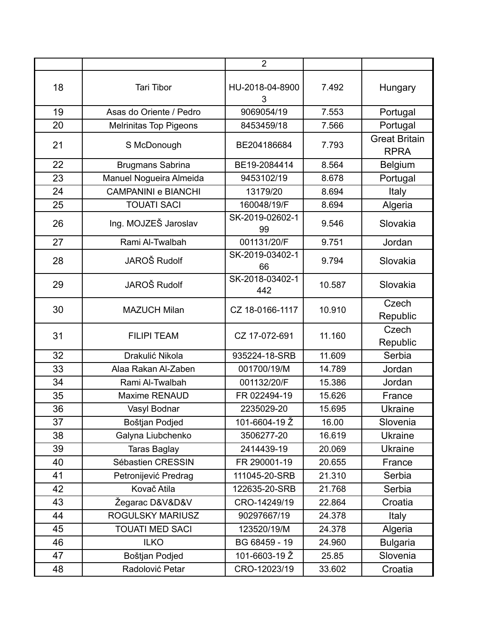|    |                               | $\overline{2}$         |        |                                     |
|----|-------------------------------|------------------------|--------|-------------------------------------|
| 18 | <b>Tari Tibor</b>             | HU-2018-04-8900<br>3   | 7.492  | Hungary                             |
| 19 | Asas do Oriente / Pedro       | 9069054/19             | 7.553  | Portugal                            |
| 20 | <b>Melrinitas Top Pigeons</b> | 8453459/18             | 7.566  | Portugal                            |
| 21 | S McDonough                   | BE204186684            | 7.793  | <b>Great Britain</b><br><b>RPRA</b> |
| 22 | Brugmans Sabrina              | BE19-2084414           | 8.564  | <b>Belgium</b>                      |
| 23 | Manuel Nogueira Almeida       | 9453102/19             | 8.678  | Portugal                            |
| 24 | <b>CAMPANINI e BIANCHI</b>    | 13179/20               | 8.694  | Italy                               |
| 25 | <b>TOUATI SACI</b>            | 160048/19/F            | 8.694  | Algeria                             |
| 26 | Ing. MOJZEŠ Jaroslav          | SK-2019-02602-1<br>99  | 9.546  | Slovakia                            |
| 27 | Rami Al-Twalbah               | 001131/20/F            | 9.751  | Jordan                              |
| 28 | JAROŠ Rudolf                  | SK-2019-03402-1<br>66  | 9.794  | Slovakia                            |
| 29 | JAROŠ Rudolf                  | SK-2018-03402-1<br>442 | 10.587 | Slovakia                            |
| 30 | <b>MAZUCH Milan</b>           | CZ 18-0166-1117        | 10.910 | Czech<br>Republic                   |
| 31 | <b>FILIPI TEAM</b>            | CZ 17-072-691          | 11.160 | Czech<br>Republic                   |
| 32 | Drakulić Nikola               | 935224-18-SRB          | 11.609 | Serbia                              |
| 33 | Alaa Rakan Al-Zaben           | 001700/19/M            | 14.789 | Jordan                              |
| 34 | Rami Al-Twalbah               | 001132/20/F            | 15.386 | Jordan                              |
| 35 | <b>Maxime RENAUD</b>          | FR 022494-19           | 15.626 | France                              |
| 36 | Vasyl Bodnar                  | 2235029-20             | 15.695 | <b>Ukraine</b>                      |
| 37 | Boštjan Podjed                | 101-6604-19 Ž          | 16.00  | Slovenia                            |
| 38 | Galyna Liubchenko             | 3506277-20             | 16.619 | <b>Ukraine</b>                      |
| 39 | <b>Taras Baglay</b>           | 2414439-19             | 20.069 | <b>Ukraine</b>                      |
| 40 | Sébastien CRESSIN             | FR 290001-19           | 20.655 | France                              |
| 41 | Petronijević Predrag          | 111045-20-SRB          | 21.310 | Serbia                              |
| 42 | Kovač Atila                   | 122635-20-SRB          | 21.768 | Serbia                              |
| 43 | Žegarac D&V&D&V               | CRO-14249/19           | 22.864 | Croatia                             |
| 44 | ROGULSKY MARIUSZ              | 90297667/19            | 24.378 | Italy                               |
| 45 | <b>TOUATI MED SACI</b>        | 123520/19/M            | 24.378 | Algeria                             |
| 46 | <b>ILKO</b>                   | BG 68459 - 19          | 24.960 | <b>Bulgaria</b>                     |
| 47 | Boštjan Podjed                | 101-6603-19 Ž          | 25.85  | Slovenia                            |
| 48 | Radolović Petar               | CRO-12023/19           | 33.602 | Croatia                             |